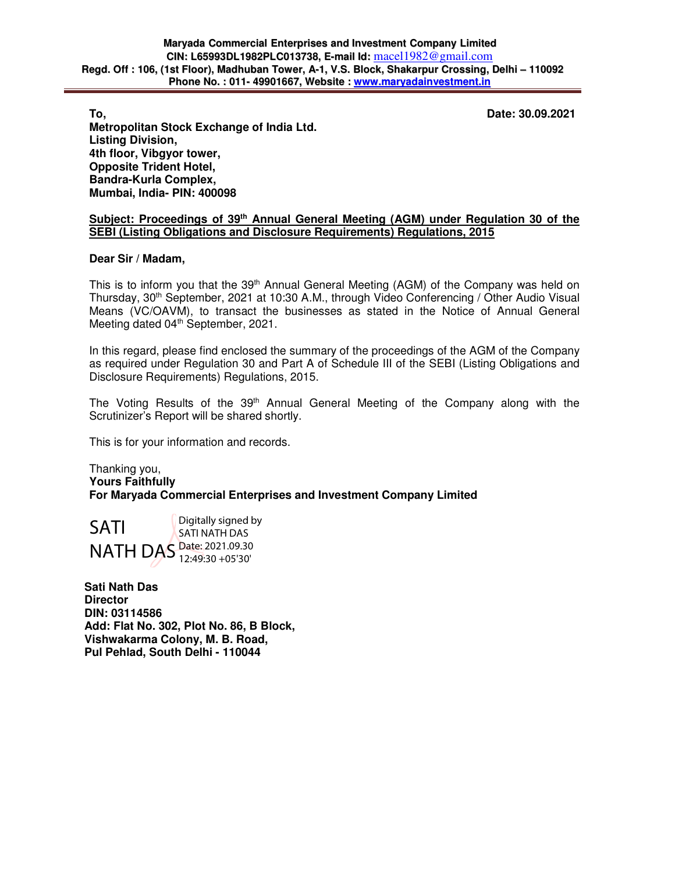**To, Date: 30.09.2021** 

**Metropolitan Stock Exchange of India Ltd. Listing Division, 4th floor, Vibgyor tower, Opposite Trident Hotel, Bandra-Kurla Complex, Mumbai, India- PIN: 400098** 

# **Subject: Proceedings of 39th Annual General Meeting (AGM) under Regulation 30 of the SEBI (Listing Obligations and Disclosure Requirements) Regulations, 2015**

### **Dear Sir / Madam,**

This is to inform you that the 39<sup>th</sup> Annual General Meeting (AGM) of the Company was held on Thursday, 30<sup>th</sup> September, 2021 at 10:30 A.M., through Video Conferencing / Other Audio Visual Means (VC/OAVM), to transact the businesses as stated in the Notice of Annual General Meeting dated 04<sup>th</sup> September, 2021.

In this regard, please find enclosed the summary of the proceedings of the AGM of the Company as required under Regulation 30 and Part A of Schedule III of the SEBI (Listing Obligations and Disclosure Requirements) Regulations, 2015.

The Voting Results of the 39<sup>th</sup> Annual General Meeting of the Company along with the Scrutinizer's Report will be shared shortly.

This is for your information and records.

Thanking you, **Yours Faithfully For Maryada Commercial Enterprises and Investment Company Limited** 

SATI NATH DAS Date: 2021.09.30 Digitally signed by SATI NATH DAS 12:49:30 +05'30'

**Sati Nath Das Director DIN: 03114586 Add: Flat No. 302, Plot No. 86, B Block, Vishwakarma Colony, M. B. Road, Pul Pehlad, South Delhi - 110044**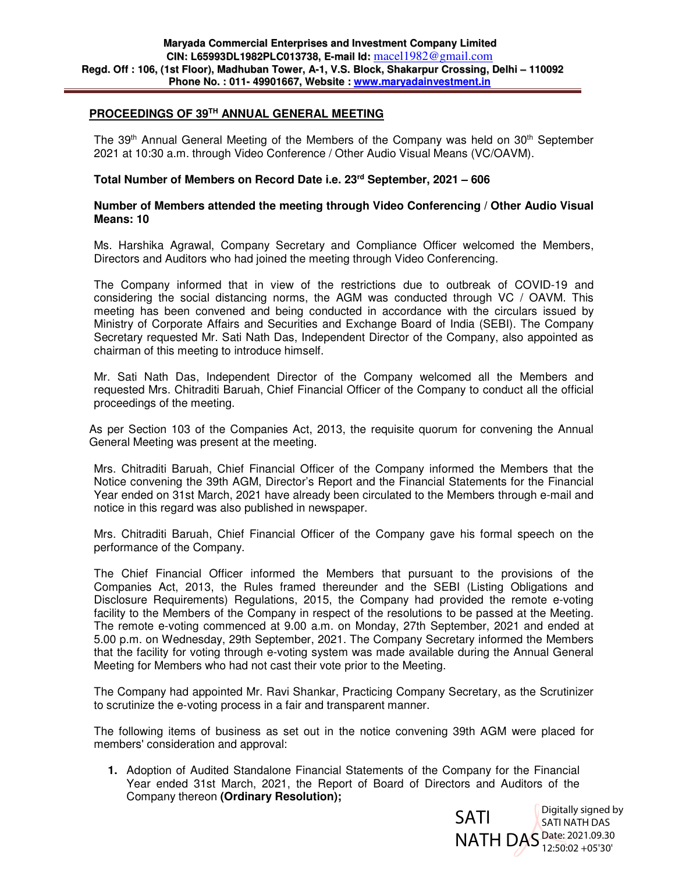# **PROCEEDINGS OF 39TH ANNUAL GENERAL MEETING**

The 39<sup>th</sup> Annual General Meeting of the Members of the Company was held on  $30<sup>th</sup>$  September 2021 at 10:30 a.m. through Video Conference / Other Audio Visual Means (VC/OAVM).

### **Total Number of Members on Record Date i.e. 23rd September, 2021 – 606**

#### **Number of Members attended the meeting through Video Conferencing / Other Audio Visual Means: 10**

Ms. Harshika Agrawal, Company Secretary and Compliance Officer welcomed the Members, Directors and Auditors who had joined the meeting through Video Conferencing.

The Company informed that in view of the restrictions due to outbreak of COVID-19 and considering the social distancing norms, the AGM was conducted through VC / OAVM. This meeting has been convened and being conducted in accordance with the circulars issued by Ministry of Corporate Affairs and Securities and Exchange Board of India (SEBI). The Company Secretary requested Mr. Sati Nath Das, Independent Director of the Company, also appointed as chairman of this meeting to introduce himself.

Mr. Sati Nath Das, Independent Director of the Company welcomed all the Members and requested Mrs. Chitraditi Baruah, Chief Financial Officer of the Company to conduct all the official proceedings of the meeting.

As per Section 103 of the Companies Act, 2013, the requisite quorum for convening the Annual General Meeting was present at the meeting.

Mrs. Chitraditi Baruah, Chief Financial Officer of the Company informed the Members that the Notice convening the 39th AGM, Director's Report and the Financial Statements for the Financial Year ended on 31st March, 2021 have already been circulated to the Members through e-mail and notice in this regard was also published in newspaper.

Mrs. Chitraditi Baruah, Chief Financial Officer of the Company gave his formal speech on the performance of the Company.

The Chief Financial Officer informed the Members that pursuant to the provisions of the Companies Act, 2013, the Rules framed thereunder and the SEBI (Listing Obligations and Disclosure Requirements) Regulations, 2015, the Company had provided the remote e-voting facility to the Members of the Company in respect of the resolutions to be passed at the Meeting. The remote e-voting commenced at 9.00 a.m. on Monday, 27th September, 2021 and ended at 5.00 p.m. on Wednesday, 29th September, 2021. The Company Secretary informed the Members that the facility for voting through e-voting system was made available during the Annual General Meeting for Members who had not cast their vote prior to the Meeting.

The Company had appointed Mr. Ravi Shankar, Practicing Company Secretary, as the Scrutinizer to scrutinize the e-voting process in a fair and transparent manner.

The following items of business as set out in the notice convening 39th AGM were placed for members' consideration and approval:

**1.** Adoption of Audited Standalone Financial Statements of the Company for the Financial Year ended 31st March, 2021, the Report of Board of Directors and Auditors of the Company thereon **(Ordinary Resolution);**